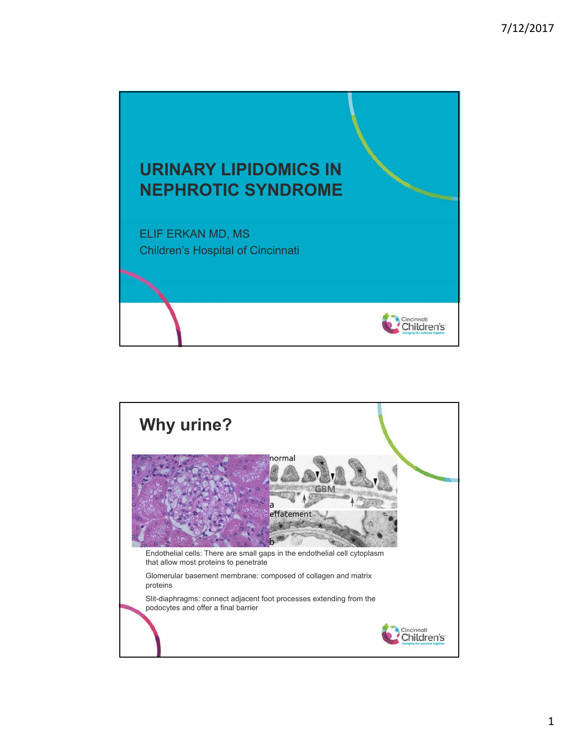

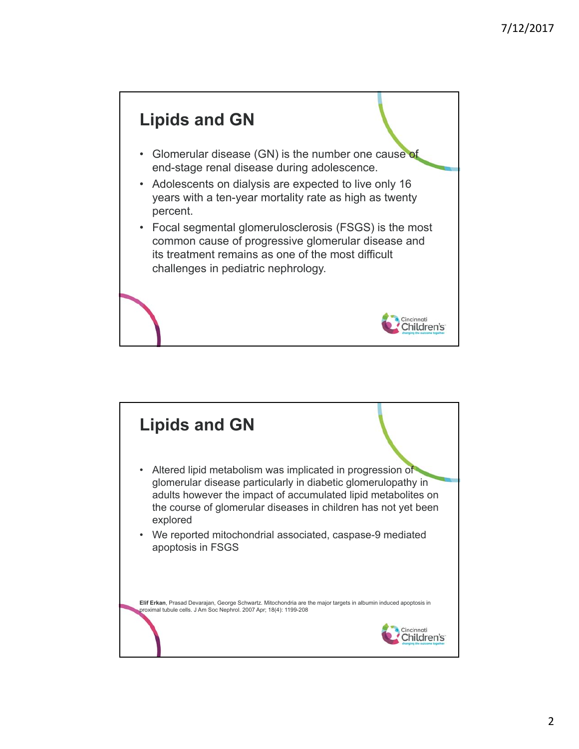

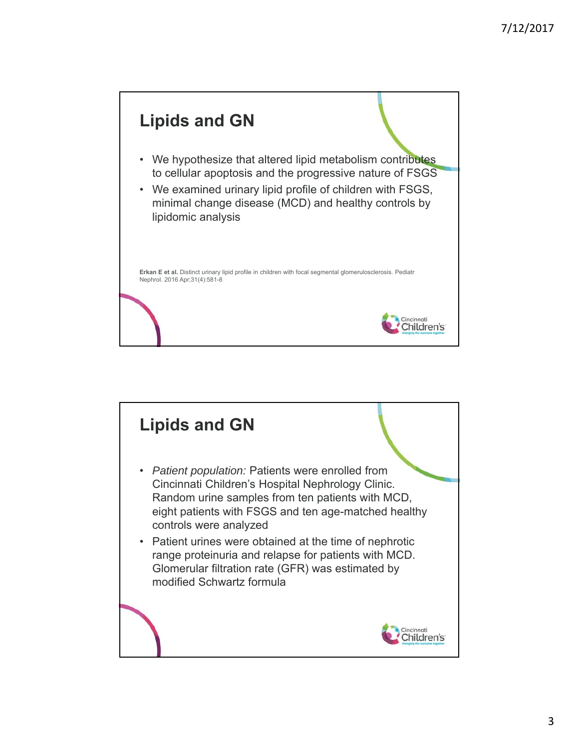

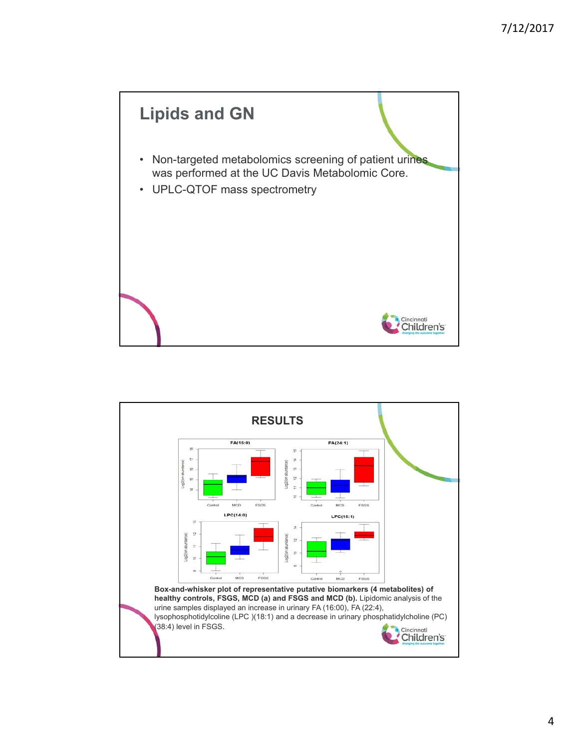

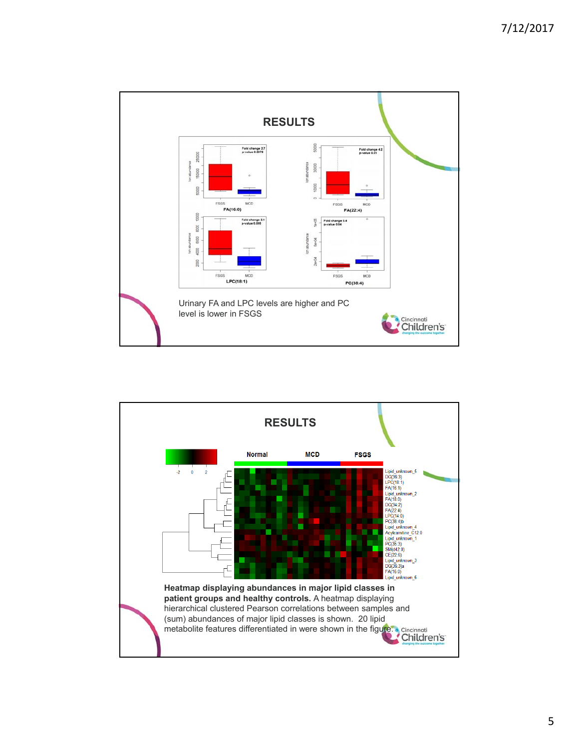

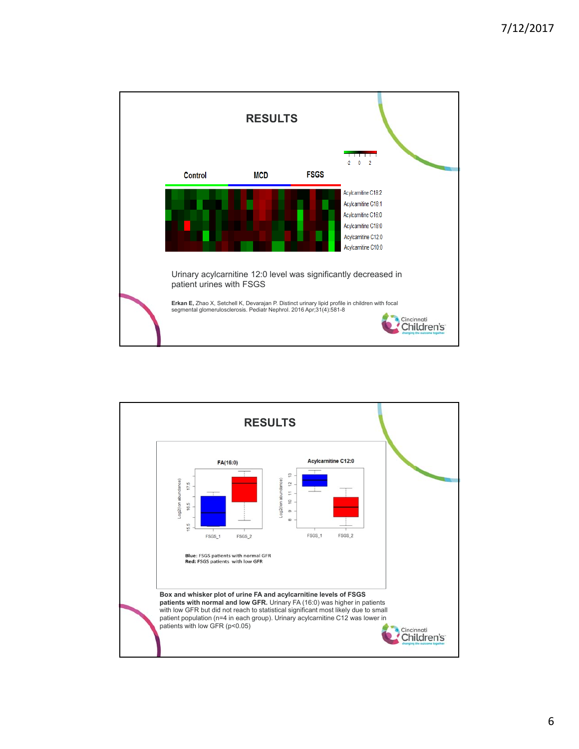